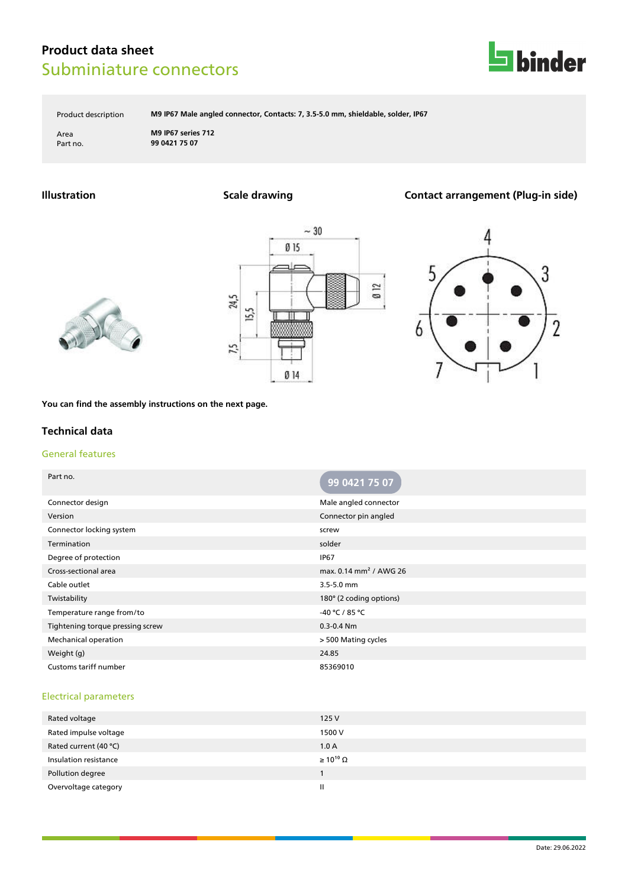

Product description **M9 IP67 Male angled connector, Contacts: 7, 3.5-5.0 mm, shieldable, solder, IP67**

Area **M9 IP67 series 712** Part no. **99 0421 75 07**

# **Illustration Scale drawing Contact arrangement (Plug-in side)**







**You can find the assembly instructions on the next page.**

### **Technical data**

### General features

| Part no.                         | 99 0421 75 07                      |
|----------------------------------|------------------------------------|
| Connector design                 | Male angled connector              |
| Version                          | Connector pin angled               |
| Connector locking system         | screw                              |
| Termination                      | solder                             |
| Degree of protection             | <b>IP67</b>                        |
| Cross-sectional area             | max. 0.14 mm <sup>2</sup> / AWG 26 |
| Cable outlet                     | 3.5-5.0 mm                         |
| Twistability                     | 180° (2 coding options)            |
| Temperature range from/to        | -40 °C / 85 °C                     |
| Tightening torque pressing screw | $0.3 - 0.4$ Nm                     |
| Mechanical operation             | > 500 Mating cycles                |
| Weight (g)                       | 24.85                              |
| Customs tariff number            | 85369010                           |

### Electrical parameters

| Rated voltage         | 125 V                 |
|-----------------------|-----------------------|
| Rated impulse voltage | 1500 V                |
| Rated current (40 °C) | 1.0A                  |
| Insulation resistance | $\geq 10^{10} \Omega$ |
| Pollution degree      |                       |
| Overvoltage category  | Ш                     |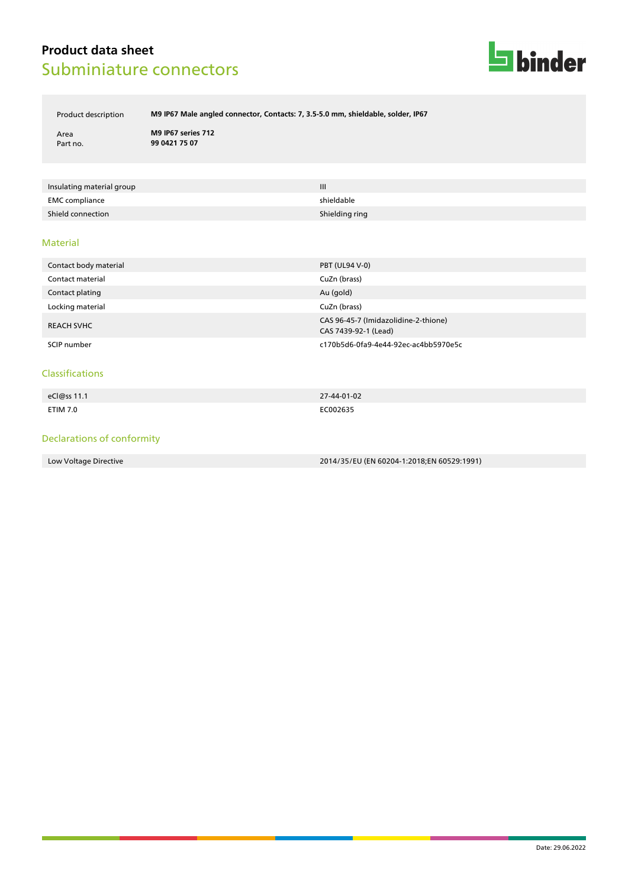

Product description **M9 IP67 Male angled connector, Contacts: 7, 3.5-5.0 mm, shieldable, solder, IP67**

Area **M9 IP67 series 712** Part no. **99 0421 75 07**

| Insulating material group | Ш              |
|---------------------------|----------------|
| <b>EMC</b> compliance     | shieldable     |
| Shield connection         | Shielding ring |

#### Material

| Contact body material | <b>PBT (UL94 V-0)</b>                                        |
|-----------------------|--------------------------------------------------------------|
| Contact material      | CuZn (brass)                                                 |
| Contact plating       | Au (gold)                                                    |
| Locking material      | CuZn (brass)                                                 |
| <b>REACH SVHC</b>     | CAS 96-45-7 (Imidazolidine-2-thione)<br>CAS 7439-92-1 (Lead) |
| SCIP number           | c170b5d6-0fa9-4e44-92ec-ac4bb5970e5c                         |

#### Classifications

| eCl@ss 11.1 | 27-44-01-02 |
|-------------|-------------|
| ETIM 7.0    | EC002635    |

### Declarations of conformity

Low Voltage Directive 2014/35/EU (EN 60204-1:2018;EN 60529:1991)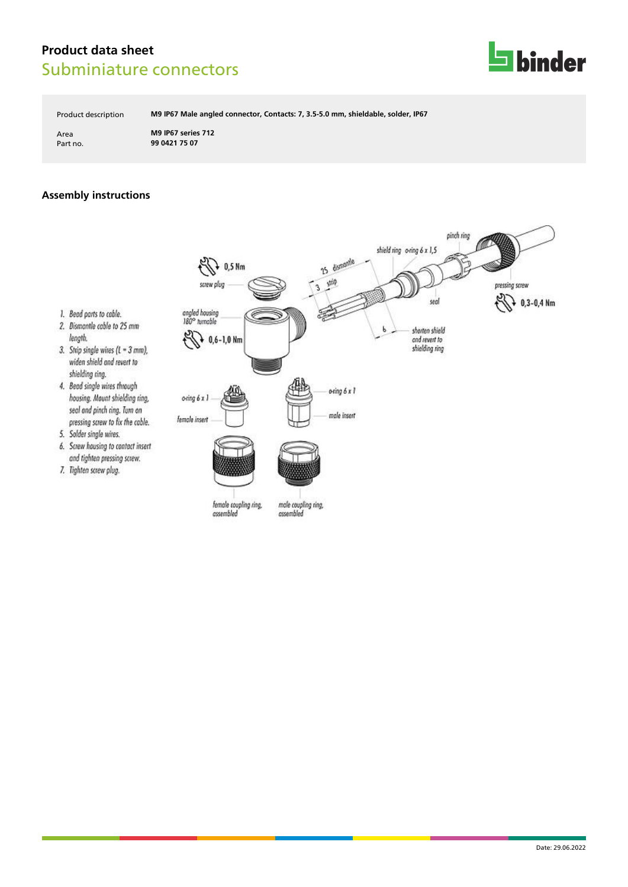

Product description **M9 IP67 Male angled connector, Contacts: 7, 3.5-5.0 mm, shieldable, solder, IP67**

Area **M9 IP67 series 712** Part no. **99 0421 75 07**

# **Assembly instructions**

1. Bead parts to cable.

shielding ring.

5. Solder single wires.

7. Tighten screw plug.

length.